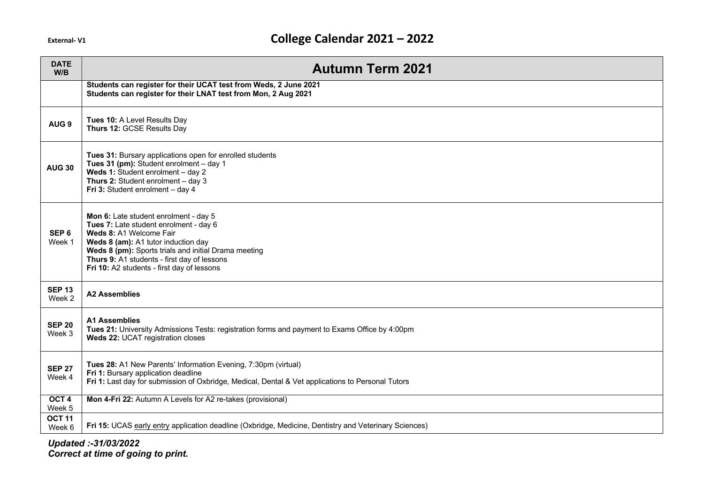| <b>DATE</b><br>W/B         | <b>Autumn Term 2021</b>                                                                                                                                                                                                                                                                                |
|----------------------------|--------------------------------------------------------------------------------------------------------------------------------------------------------------------------------------------------------------------------------------------------------------------------------------------------------|
|                            | Students can register for their UCAT test from Weds, 2 June 2021<br>Students can register for their LNAT test from Mon, 2 Aug 2021                                                                                                                                                                     |
| AUG <sub>9</sub>           | Tues 10: A Level Results Day<br>Thurs 12: GCSE Results Day                                                                                                                                                                                                                                             |
| <b>AUG 30</b>              | Tues 31: Bursary applications open for enrolled students<br>Tues 31 (pm): Student enrolment - day 1<br>Weds 1: Student enrolment - day 2<br>Thurs 2: Student enrolment $-$ day 3<br>Fri 3: Student enrolment - day 4                                                                                   |
| SEP <sub>6</sub><br>Week 1 | Mon 6: Late student enrolment - day 5<br>Tues 7: Late student enrolment - day 6<br>Weds 8: A1 Welcome Fair<br>Weds 8 (am): A1 tutor induction day<br>Weds 8 (pm): Sports trials and initial Drama meeting<br>Thurs 9: A1 students - first day of lessons<br>Fri 10: A2 students - first day of lessons |
| <b>SEP 13</b><br>Week 2    | <b>A2 Assemblies</b>                                                                                                                                                                                                                                                                                   |
| <b>SEP 20</b><br>Week 3    | <b>A1 Assemblies</b><br>Tues 21: University Admissions Tests: registration forms and payment to Exams Office by 4:00pm<br>Weds 22: UCAT registration closes                                                                                                                                            |
| <b>SEP 27</b><br>Week 4    | Tues 28: A1 New Parents' Information Evening, 7:30pm (virtual)<br>Fri 1: Bursary application deadline<br>Fri 1: Last day for submission of Oxbridge, Medical, Dental & Vet applications to Personal Tutors                                                                                             |
| OCT <sub>4</sub><br>Week 5 | Mon 4-Fri 22: Autumn A Levels for A2 re-takes (provisional)                                                                                                                                                                                                                                            |
| <b>OCT 11</b><br>Week 6    | Fri 15: UCAS early entry application deadline (Oxbridge, Medicine, Dentistry and Veterinary Sciences)                                                                                                                                                                                                  |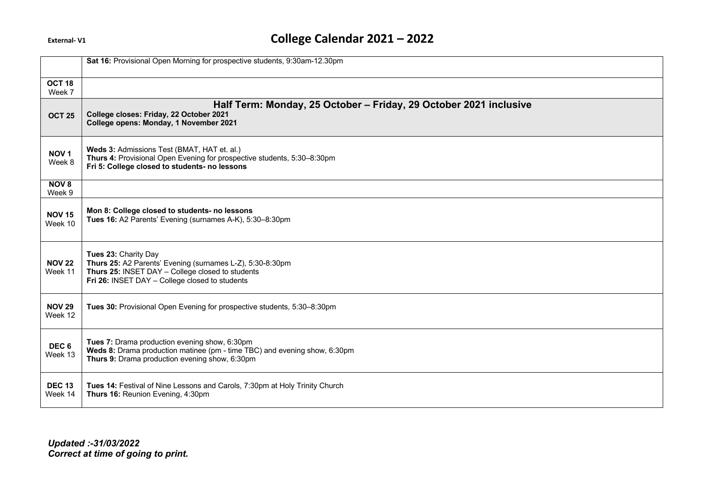|                             | Sat 16: Provisional Open Morning for prospective students, 9:30am-12.30pm                                                                                                               |
|-----------------------------|-----------------------------------------------------------------------------------------------------------------------------------------------------------------------------------------|
| OCT <sub>18</sub><br>Week 7 |                                                                                                                                                                                         |
| <b>OCT 25</b>               | Half Term: Monday, 25 October - Friday, 29 October 2021 inclusive<br>College closes: Friday, 22 October 2021<br>College opens: Monday, 1 November 2021                                  |
| NOV <sub>1</sub><br>Week 8  | Weds 3: Admissions Test (BMAT, HAT et. al.)<br>Thurs 4: Provisional Open Evening for prospective students, 5:30-8:30pm<br>Fri 5: College closed to students- no lessons                 |
| NOV <sub>8</sub><br>Week 9  |                                                                                                                                                                                         |
| <b>NOV 15</b><br>Week 10    | Mon 8: College closed to students- no lessons<br>Tues 16: A2 Parents' Evening (surnames A-K), 5:30-8:30pm                                                                               |
| <b>NOV 22</b><br>Week 11    | Tues 23: Charity Day<br>Thurs 25: A2 Parents' Evening (surnames L-Z), 5:30-8:30pm<br>Thurs 25: INSET DAY - College closed to students<br>Fri 26: INSET DAY - College closed to students |
| <b>NOV 29</b><br>Week 12    | Tues 30: Provisional Open Evening for prospective students, 5:30-8:30pm                                                                                                                 |
| DEC <sub>6</sub><br>Week 13 | Tues 7: Drama production evening show, 6:30pm<br>Weds 8: Drama production matinee (pm - time TBC) and evening show, 6:30pm<br>Thurs 9: Drama production evening show, 6:30pm            |
| <b>DEC 13</b><br>Week 14    | Tues 14: Festival of Nine Lessons and Carols, 7:30pm at Holy Trinity Church<br>Thurs 16: Reunion Evening, 4:30pm                                                                        |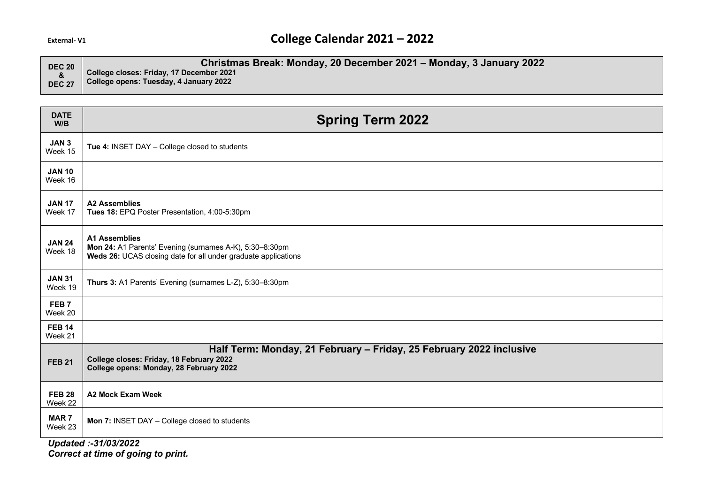| <b>DEC 20</b> | Christmas Break: Monday, 20 December 2021 - Monday, 3 January 2022 |
|---------------|--------------------------------------------------------------------|
|               | College closes: Friday, 17 December 2021                           |
| <b>DEC 27</b> | College opens: Tuesday, 4 January 2022                             |

| <b>DATE</b><br>W/B          | <b>Spring Term 2022</b>                                                                                                                                    |
|-----------------------------|------------------------------------------------------------------------------------------------------------------------------------------------------------|
| JAN <sub>3</sub><br>Week 15 | Tue 4: INSET DAY - College closed to students                                                                                                              |
| <b>JAN 10</b><br>Week 16    |                                                                                                                                                            |
| <b>JAN 17</b><br>Week 17    | <b>A2 Assemblies</b><br>Tues 18: EPQ Poster Presentation, 4:00-5:30pm                                                                                      |
| <b>JAN 24</b><br>Week 18    | <b>A1 Assemblies</b><br>Mon 24: A1 Parents' Evening (surnames A-K), 5:30-8:30pm<br>Weds 26: UCAS closing date for all under graduate applications          |
| <b>JAN 31</b><br>Week 19    | Thurs 3: A1 Parents' Evening (surnames L-Z), 5:30-8:30pm                                                                                                   |
| FEB <sub>7</sub><br>Week 20 |                                                                                                                                                            |
| <b>FEB 14</b><br>Week 21    |                                                                                                                                                            |
| <b>FEB 21</b>               | Half Term: Monday, 21 February - Friday, 25 February 2022 inclusive<br>College closes: Friday, 18 February 2022<br>College opens: Monday, 28 February 2022 |
| <b>FEB 28</b><br>Week 22    | <b>A2 Mock Exam Week</b>                                                                                                                                   |
| <b>MAR7</b><br>Week 23      | Mon 7: INSET DAY - College closed to students                                                                                                              |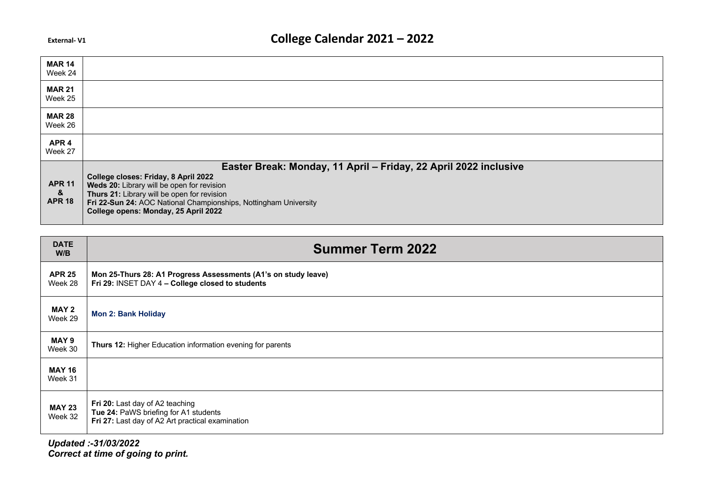| <b>MAR 14</b><br>Week 24            |                                                                                                                                                                                                                                                                                                                   |
|-------------------------------------|-------------------------------------------------------------------------------------------------------------------------------------------------------------------------------------------------------------------------------------------------------------------------------------------------------------------|
| <b>MAR 21</b><br>Week 25            |                                                                                                                                                                                                                                                                                                                   |
| <b>MAR 28</b><br>Week 26            |                                                                                                                                                                                                                                                                                                                   |
| APR <sub>4</sub><br>Week 27         |                                                                                                                                                                                                                                                                                                                   |
| <b>APR 11</b><br>&<br><b>APR 18</b> | Easter Break: Monday, 11 April - Friday, 22 April 2022 inclusive<br>College closes: Friday, 8 April 2022<br>Weds 20: Library will be open for revision<br>Thurs 21: Library will be open for revision<br>Fri 22-Sun 24: AOC National Championships, Nottingham University<br>College opens: Monday, 25 April 2022 |

| <b>DATE</b><br>W/B       | <b>Summer Term 2022</b>                                                                                                      |
|--------------------------|------------------------------------------------------------------------------------------------------------------------------|
| <b>APR 25</b><br>Week 28 | Mon 25-Thurs 28: A1 Progress Assessments (A1's on study leave)<br>Fri 29: INSET DAY 4 - College closed to students           |
| <b>MAY 2</b><br>Week 29  | <b>Mon 2: Bank Holiday</b>                                                                                                   |
| MAY 9<br>Week 30         | Thurs 12: Higher Education information evening for parents                                                                   |
| <b>MAY 16</b><br>Week 31 |                                                                                                                              |
| <b>MAY 23</b><br>Week 32 | Fri 20: Last day of A2 teaching<br>Tue 24: PaWS briefing for A1 students<br>Fri 27: Last day of A2 Art practical examination |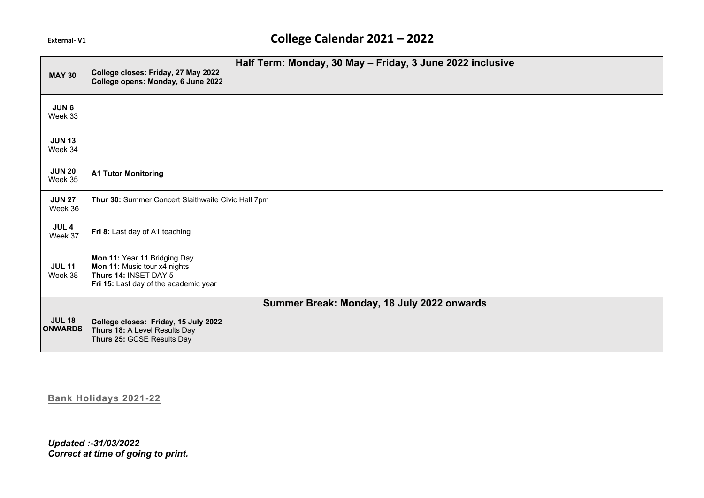|                                 | Half Term: Monday, 30 May - Friday, 3 June 2022 inclusive                                                                      |
|---------------------------------|--------------------------------------------------------------------------------------------------------------------------------|
| <b>MAY 30</b>                   | College closes: Friday, 27 May 2022<br>College opens: Monday, 6 June 2022                                                      |
| JUN <sub>6</sub><br>Week 33     |                                                                                                                                |
| <b>JUN 13</b><br>Week 34        |                                                                                                                                |
| <b>JUN 20</b><br>Week 35        | <b>A1 Tutor Monitoring</b>                                                                                                     |
| <b>JUN 27</b><br>Week 36        | Thur 30: Summer Concert Slaithwaite Civic Hall 7pm                                                                             |
| JUL <sub>4</sub><br>Week 37     | Fri 8: Last day of A1 teaching                                                                                                 |
| <b>JUL 11</b><br>Week 38        | Mon 11: Year 11 Bridging Day<br>Mon 11: Music tour x4 nights<br>Thurs 14: INSET DAY 5<br>Fri 15: Last day of the academic year |
|                                 | Summer Break: Monday, 18 July 2022 onwards                                                                                     |
| <b>JUL 18</b><br><b>ONWARDS</b> | College closes: Friday, 15 July 2022<br>Thurs 18: A Level Results Day<br>Thurs 25: GCSE Results Day                            |

**Bank Holidays 2021-22**